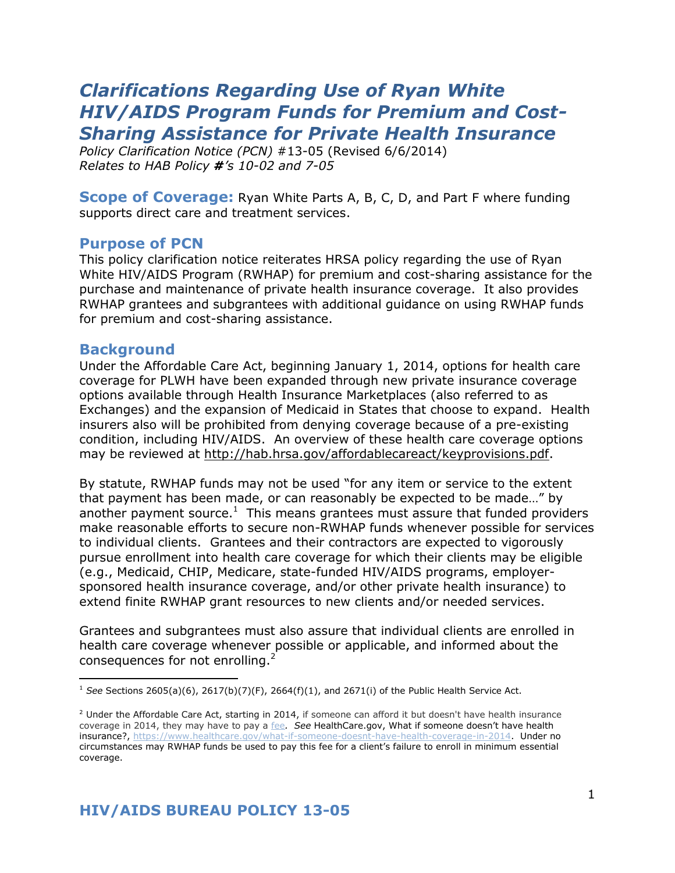# *Clarifications Regarding Use of Ryan White HIV/AIDS Program Funds for Premium and Cost-Sharing Assistance for Private Health Insurance*

*Policy Clarification Notice (PCN)* #13-05 (Revised 6/6/2014) *Relates to HAB Policy #'s 10-02 and 7-05*

**Scope of Coverage:** Ryan White Parts A, B, C, D, and Part F where funding supports direct care and treatment services.

#### **Purpose of PCN**

This policy clarification notice reiterates HRSA policy regarding the use of Ryan White HIV/AIDS Program (RWHAP) for premium and cost-sharing assistance for the purchase and maintenance of private health insurance coverage. It also provides RWHAP grantees and subgrantees with additional guidance on using RWHAP funds for premium and cost-sharing assistance.

#### **Background**

j

Under the Affordable Care Act, beginning January 1, 2014, options for health care coverage for PLWH have been expanded through new private insurance coverage options available through Health Insurance Marketplaces (also referred to as Exchanges) and the expansion of Medicaid in States that choose to expand. Health insurers also will be prohibited from denying coverage because of a pre-existing condition, including HIV/AIDS. An overview of these health care coverage options may be reviewed at [http://hab.hrsa.gov/affordablecareact/keyprovisions.pdf.](http://hab.hrsa.gov/affordablecareact/keyprovisions.pdf)

By statute, RWHAP funds may not be used "for any item or service to the extent that payment has been made, or can reasonably be expected to be made…" by another payment source.<sup>1</sup> This means grantees must assure that funded providers make reasonable efforts to secure non-RWHAP funds whenever possible for services to individual clients. Grantees and their contractors are expected to vigorously pursue enrollment into health care coverage for which their clients may be eligible (e.g., Medicaid, CHIP, Medicare, state-funded HIV/AIDS programs, employersponsored health insurance coverage, and/or other private health insurance) to extend finite RWHAP grant resources to new clients and/or needed services.

Grantees and subgrantees must also assure that individual clients are enrolled in health care coverage whenever possible or applicable, and informed about the consequences for not enrolling.<sup>2</sup>

<sup>&</sup>lt;sup>1</sup> See Sections 2605(a)(6), 2617(b)(7)(F), 2664(f)(1), and 2671(i) of the Public Health Service Act.

 $2$  Under the Affordable Care Act, starting in 2014, if someone can afford it but doesn't have health insurance coverage in 2014, they may have to pay a [fee](https://www.healthcare.gov/glossary/fee). See HealthCare.gov, What if someone doesn't have health insurance?, [https://www.healthcare.gov/what-if-someone-doesnt-have-health-coverage-in-2014.](https://www.healthcare.gov/what-if-someone-doesnt-have-health-coverage-in-2014) Under no circumstances may RWHAP funds be used to pay this fee for a client's failure to enroll in minimum essential coverage.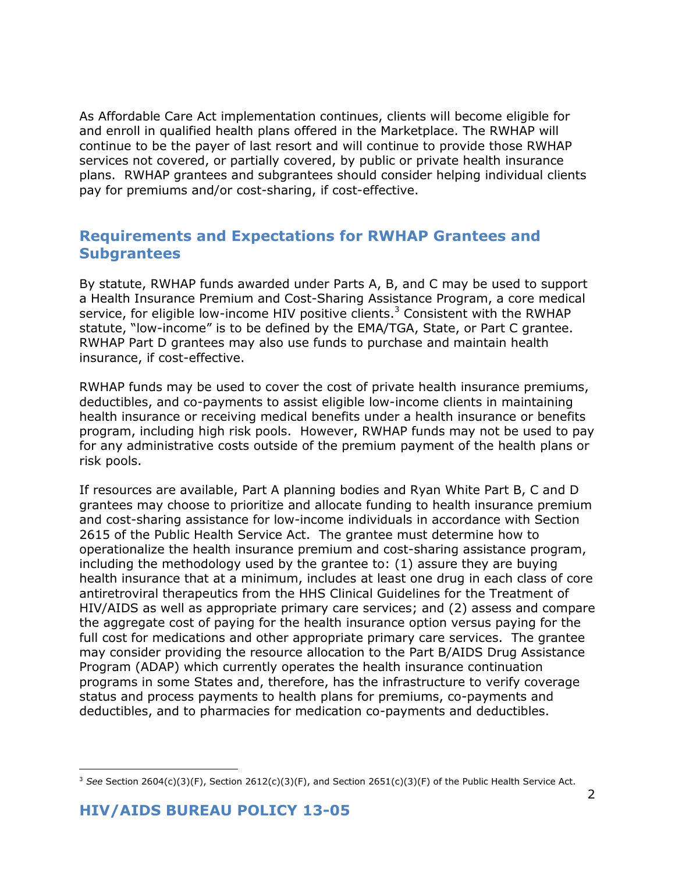As Affordable Care Act implementation continues, clients will become eligible for and enroll in qualified health plans offered in the Marketplace. The RWHAP will continue to be the payer of last resort and will continue to provide those RWHAP services not covered, or partially covered, by public or private health insurance plans. RWHAP grantees and subgrantees should consider helping individual clients pay for premiums and/or cost-sharing, if cost-effective.

# **Requirements and Expectations for RWHAP Grantees and Subgrantees**

By statute, RWHAP funds awarded under Parts A, B, and C may be used to support a Health Insurance Premium and Cost-Sharing Assistance Program, a core medical service, for eligible low-income HIV positive clients.<sup>3</sup> Consistent with the RWHAP statute, "low-income" is to be defined by the EMA/TGA, State, or Part C grantee. RWHAP Part D grantees may also use funds to purchase and maintain health insurance, if cost-effective.

RWHAP funds may be used to cover the cost of private health insurance premiums, deductibles, and co-payments to assist eligible low-income clients in maintaining health insurance or receiving medical benefits under a health insurance or benefits program, including high risk pools. However, RWHAP funds may not be used to pay for any administrative costs outside of the premium payment of the health plans or risk pools.

If resources are available, Part A planning bodies and Ryan White Part B, C and D grantees may choose to prioritize and allocate funding to health insurance premium and cost-sharing assistance for low-income individuals in accordance with Section 2615 of the Public Health Service Act. The grantee must determine how to operationalize the health insurance premium and cost-sharing assistance program, including the methodology used by the grantee to: (1) assure they are buying health insurance that at a minimum, includes at least one drug in each class of core antiretroviral therapeutics from the HHS Clinical Guidelines for the Treatment of HIV/AIDS as well as appropriate primary care services; and (2) assess and compare the aggregate cost of paying for the health insurance option versus paying for the full cost for medications and other appropriate primary care services. The grantee may consider providing the resource allocation to the Part B/AIDS Drug Assistance Program (ADAP) which currently operates the health insurance continuation programs in some States and, therefore, has the infrastructure to verify coverage status and process payments to health plans for premiums, co-payments and deductibles, and to pharmacies for medication co-payments and deductibles.

 $\overline{a}$ <sup>3</sup> See Section 2604(c)(3)(F), Section 2612(c)(3)(F), and Section 2651(c)(3)(F) of the Public Health Service Act.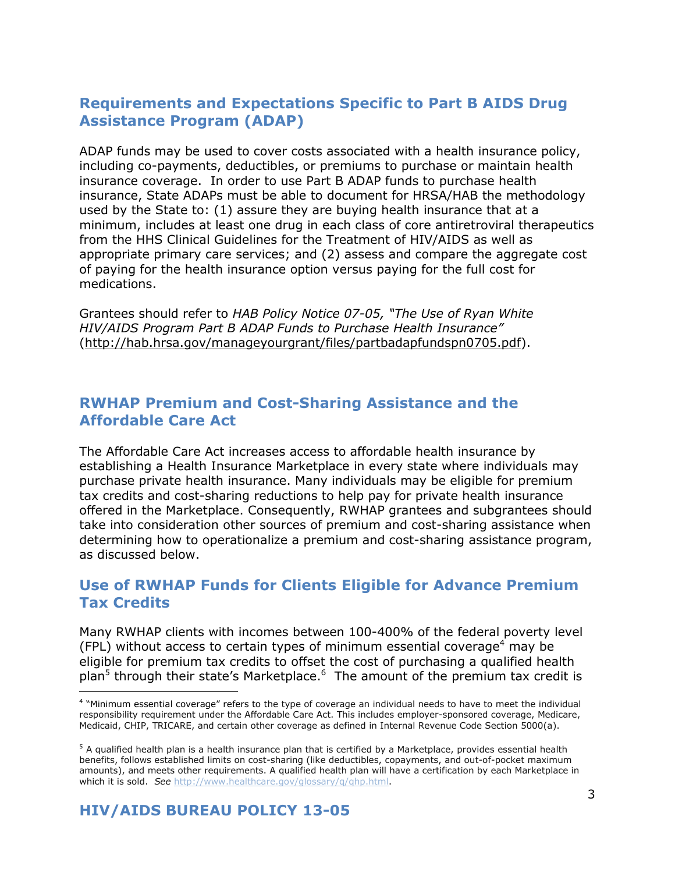# **Requirements and Expectations Specific to Part B AIDS Drug Assistance Program (ADAP)**

ADAP funds may be used to cover costs associated with a health insurance policy, including co-payments, deductibles, or premiums to purchase or maintain health insurance coverage. In order to use Part B ADAP funds to purchase health insurance, State ADAPs must be able to document for HRSA/HAB the methodology used by the State to: (1) assure they are buying health insurance that at a minimum, includes at least one drug in each class of core antiretroviral therapeutics from the HHS Clinical Guidelines for the Treatment of HIV/AIDS as well as appropriate primary care services; and (2) assess and compare the aggregate cost of paying for the health insurance option versus paying for the full cost for medications.

Grantees should refer to *HAB Policy Notice 07-05, "The Use of Ryan White HIV/AIDS Program Part B ADAP Funds to Purchase Health Insurance"* [\(http://hab.hrsa.gov/manageyourgrant/files/partbadapfundspn0705.pdf\)](http://hab.hrsa.gov/manageyourgrant/files/partbadapfundspn0705.pdf).

#### **RWHAP Premium and Cost-Sharing Assistance and the Affordable Care Act**

The Affordable Care Act increases access to affordable health insurance by establishing a Health Insurance Marketplace in every state where individuals may purchase private health insurance. Many individuals may be eligible for premium tax credits and cost-sharing reductions to help pay for private health insurance offered in the Marketplace. Consequently, RWHAP grantees and subgrantees should take into consideration other sources of premium and cost-sharing assistance when determining how to operationalize a premium and cost-sharing assistance program, as discussed below.

## **Use of RWHAP Funds for Clients Eligible for Advance Premium Tax Credits**

Many RWHAP clients with incomes between 100-400% of the federal poverty level (FPL) without access to certain types of minimum essential coverage<sup>4</sup> may be eligible for premium tax credits to offset the cost of purchasing a qualified health plan<sup>5</sup> through their state's Marketplace.<sup>6</sup> The amount of the premium tax credit is

-

<sup>4</sup> "Minimum essential coverage" refers to the type of coverage an individual needs to have to meet the individual responsibility requirement under the Affordable Care Act. This includes employer-sponsored coverage, Medicare, Medicaid, CHIP, TRICARE, and certain other coverage as defined in Internal Revenue Code Section 5000(a).

 $5$  A qualified health plan is a health insurance plan that is certified by a Marketplace, provides essential health benefits, follows established limits on cost-sharing (like deductibles, copayments, and out-of-pocket maximum amounts), and meets other requirements. A qualified health plan will have a certification by each Marketplace in which it is sold. *See* [http://www.healthcare.gov/glossary/q/qhp.html.](http://www.healthcare.gov/glossary/q/qhp.html)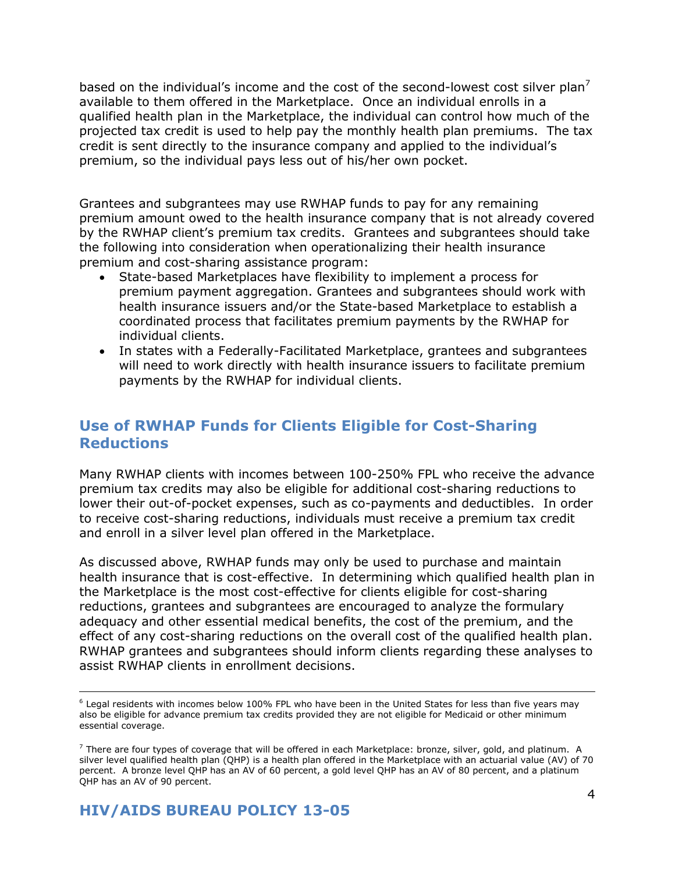based on the individual's income and the cost of the second-lowest cost silver plan<sup>7</sup> available to them offered in the Marketplace. Once an individual enrolls in a qualified health plan in the Marketplace, the individual can control how much of the projected tax credit is used to help pay the monthly health plan premiums. The tax credit is sent directly to the insurance company and applied to the individual's premium, so the individual pays less out of his/her own pocket.

Grantees and subgrantees may use RWHAP funds to pay for any remaining premium amount owed to the health insurance company that is not already covered by the RWHAP client's premium tax credits. Grantees and subgrantees should take the following into consideration when operationalizing their health insurance premium and cost-sharing assistance program:

- State-based Marketplaces have flexibility to implement a process for premium payment aggregation. Grantees and subgrantees should work with health insurance issuers and/or the State-based Marketplace to establish a coordinated process that facilitates premium payments by the RWHAP for individual clients.
- In states with a Federally-Facilitated Marketplace, grantees and subgrantees will need to work directly with health insurance issuers to facilitate premium payments by the RWHAP for individual clients.

# **Use of RWHAP Funds for Clients Eligible for Cost-Sharing Reductions**

Many RWHAP clients with incomes between 100-250% FPL who receive the advance premium tax credits may also be eligible for additional cost-sharing reductions to lower their out-of-pocket expenses, such as co-payments and deductibles. In order to receive cost-sharing reductions, individuals must receive a premium tax credit and enroll in a silver level plan offered in the Marketplace.

As discussed above, RWHAP funds may only be used to purchase and maintain health insurance that is cost-effective. In determining which qualified health plan in the Marketplace is the most cost-effective for clients eligible for cost-sharing reductions, grantees and subgrantees are encouraged to analyze the formulary adequacy and other essential medical benefits, the cost of the premium, and the effect of any cost-sharing reductions on the overall cost of the qualified health plan. RWHAP grantees and subgrantees should inform clients regarding these analyses to assist RWHAP clients in enrollment decisions.

j

<sup>&</sup>lt;sup>6</sup> Legal residents with incomes below 100% FPL who have been in the United States for less than five years may also be eligible for advance premium tax credits provided they are not eligible for Medicaid or other minimum essential coverage.

 $^7$  There are four types of coverage that will be offered in each Marketplace: bronze, silver, gold, and platinum. A silver level qualified health plan (OHP) is a health plan offered in the Marketplace with an actuarial value (AV) of 70 percent. A bronze level QHP has an AV of 60 percent, a gold level QHP has an AV of 80 percent, and a platinum QHP has an AV of 90 percent.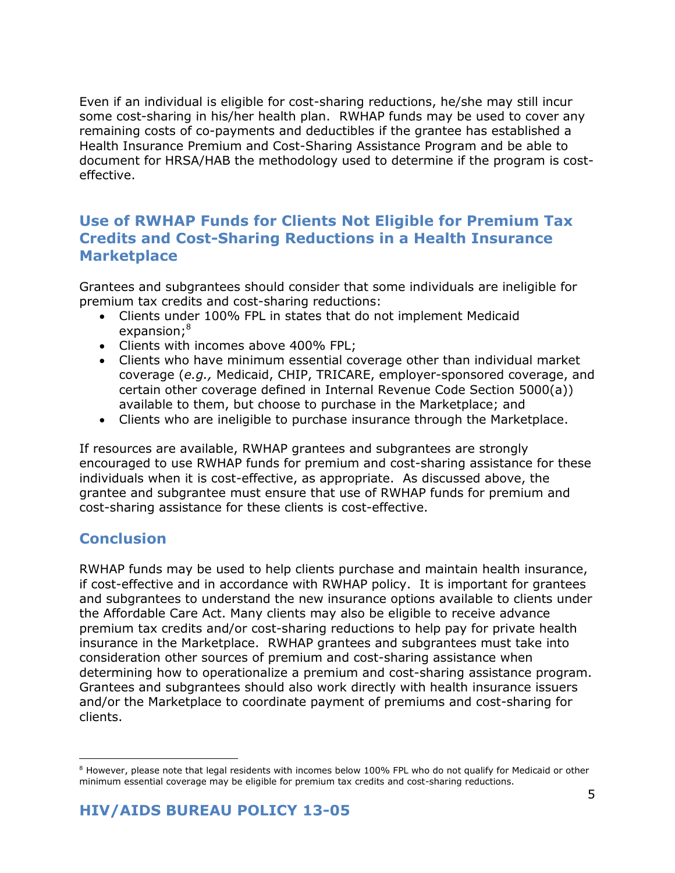Even if an individual is eligible for cost-sharing reductions, he/she may still incur some cost-sharing in his/her health plan. RWHAP funds may be used to cover any remaining costs of co-payments and deductibles if the grantee has established a Health Insurance Premium and Cost-Sharing Assistance Program and be able to document for HRSA/HAB the methodology used to determine if the program is costeffective.

## **Use of RWHAP Funds for Clients Not Eligible for Premium Tax Credits and Cost-Sharing Reductions in a Health Insurance Marketplace**

Grantees and subgrantees should consider that some individuals are ineligible for premium tax credits and cost-sharing reductions:

- Clients under 100% FPL in states that do not implement Medicaid expansion;<sup>8</sup>
- Clients with incomes above 400% FPL;
- Clients who have minimum essential coverage other than individual market coverage (*e.g.,* Medicaid, CHIP, TRICARE, employer-sponsored coverage, and certain other coverage defined in Internal Revenue Code Section 5000(a)) available to them, but choose to purchase in the Marketplace; and
- Clients who are ineligible to purchase insurance through the Marketplace.

If resources are available, RWHAP grantees and subgrantees are strongly encouraged to use RWHAP funds for premium and cost-sharing assistance for these individuals when it is cost-effective, as appropriate. As discussed above, the grantee and subgrantee must ensure that use of RWHAP funds for premium and cost-sharing assistance for these clients is cost-effective.

## **Conclusion**

-

RWHAP funds may be used to help clients purchase and maintain health insurance, if cost-effective and in accordance with RWHAP policy. It is important for grantees and subgrantees to understand the new insurance options available to clients under the Affordable Care Act. Many clients may also be eligible to receive advance premium tax credits and/or cost-sharing reductions to help pay for private health insurance in the Marketplace. RWHAP grantees and subgrantees must take into consideration other sources of premium and cost-sharing assistance when determining how to operationalize a premium and cost-sharing assistance program. Grantees and subgrantees should also work directly with health insurance issuers and/or the Marketplace to coordinate payment of premiums and cost-sharing for clients.

<sup>&</sup>lt;sup>8</sup> However, please note that legal residents with incomes below 100% FPL who do not qualify for Medicaid or other minimum essential coverage may be eligible for premium tax credits and cost-sharing reductions.